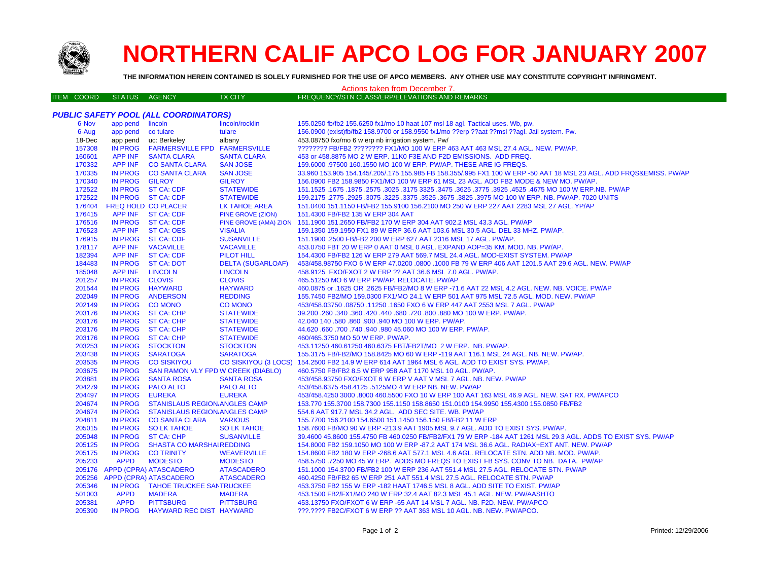

## **NORTHERN CALIF APCO LOG FOR JANUARY 2007**

**THE INFORMATION HEREIN CONTAINED IS SOLELY FURNISHED FOR THE USE OF APCO MEMBERS. ANY OTHER USE MAY CONSTITUTE COPYRIGHT INFRINGMENT.**

## Actions taken from December 7.

| ITEM COORD | STATUS AGENCY | <b>TX CITY</b> | FREQUENCY/STN CLASS/ERP/ELEVATIONS AND REMARKS |
|------------|---------------|----------------|------------------------------------------------|
|            |               |                |                                                |

| app pend lincoln<br>lincoln/rocklin<br>155.0250 fb/fb2 155.6250 fx1/mo 10 haat 107 msl 18 agl. Tactical uses. Wb, pw.<br>6-Nov<br>tulare<br>156.0900 (exist)fb/fb2 158.9700 or 158.9550 fx1/mo ??erp ??aat ??msl ??agl. Jail system. Pw.<br>6-Aug<br>app pend co tulare<br>app pend uc: Berkeley<br>453.08750 fxo/mo 6 w erp nb irrigation system. Pw/<br>18-Dec<br>albany<br>157308<br><b>IN PROG</b><br><b>FARMERSVILLE FPD FARMERSVILLE</b><br>???????? FB/FB2 ???????? FX1/MO 100 W ERP 463 AAT 463 MSL 27.4 AGL. NEW. PW/AP.<br><b>APP INF</b><br>160601<br><b>SANTA CLARA</b><br><b>SANTA CLARA</b><br>453 or 458.8875 MO 2 W ERP. 11K0 F3E AND F2D EMISSIONS. ADD FREQ.<br>170332<br>APP INF CO SANTA CLARA<br><b>SAN JOSE</b><br>159,6000 .97500 160.1550 MO 100 W ERP. PW/AP. THESE ARE IG FREQS.<br>170335<br>IN PROG CO SANTA CLARA<br><b>SAN JOSE</b><br>33.960 153.905 154.145/.205/.175 155.985 FB 158.355/.995 FX1 100 W ERP -50 AAT 18 MSL 23 AGL. ADD FRQS&EMISS. PW/AP<br>170340<br>IN PROG GILROY<br><b>GILROY</b><br>156.0900 FB2 158.9850 FX1/MO 100 W ERP 61 MSL 23 AGL. ADD FB2 MODE & NEW MO. PW/AP.<br>172522<br>IN PROG ST CA: CDF<br><b>STATEWIDE</b><br>151.1525 .1675 MO 100 W ERP.NB. PW/AP .2575 .3625 .3475 .3475 .3625 .3475 .3625 .3025 .1675 .1675 .2578 .1675<br>172522<br>IN PROG ST CA: CDF<br><b>STATEWIDE</b><br>159.2175 .2775 .2925 .3075 .3225 .3525 .3625 .3675 .3825 .3975 MO 100 W ERP. NB. PW/AP. 7020 UNITS<br>176404<br>FREQ HOLD CO PLACER<br>LK TAHOE AREA<br>151.0400 151.1150 FB/FB2 155.9100 156.2100 MO 250 W ERP 227 AAT 2283 MSL 27 AGL. YP/AP<br>APP INF ST CA: CDF<br>176415<br>151.4300 FB/FB2 135 W ERP 304 AAT<br><b>PINE GROVE (ZION)</b><br>176516<br>IN PROG ST CA: CDF<br>PINE GROVE (AMA) ZION 151.1900 151.2650 FB/FB2 170 W ERP 304 AAT 902.2 MSL 43.3 AGL. PW/AP<br><b>APP INF</b><br>176523<br>ST CA: OES<br><b>VISALIA</b><br>159.1350 159.1950 FX1 89 W ERP 36.6 AAT 103.6 MSL 30.5 AGL. DEL 33 MHZ. PW/AP.<br>176915<br><b>SUSANVILLE</b><br>IN PROG ST CA: CDF<br>151.1900.2500 FB/FB2 200 W ERP 627 AAT 2316 MSL 17 AGL. PW/AP.<br>178117<br>APP INF<br><b>VACAVILLE</b><br>453.0750 FBT 20 W ERP 0 AAT 0 MSL 0 AGL. EXPAND AOP=35 KM. MOD. NB. PW/AP.<br><b>VACAVILLE</b><br>182394<br><b>APP INF</b><br><b>ST CA: CDF</b><br><b>PILOT HILL</b><br>154.4300 FB/FB2 126 W ERP 279 AAT 569.7 MSL 24.4 AGL. MOD-EXIST SYSTEM. PW/AP<br>184483<br>IN PROG ST CA: DOT<br><b>DELTA (SUGARLOAF)</b><br>453/458.98750 FXO 6 W ERP 47.0200 .0800 .1000 FB 79 W ERP 406 AAT 1201.5 AAT 29.6 AGL. NEW. PW/AP<br>185048<br><b>APP INF</b><br><b>LINCOLN</b><br><b>LINCOLN</b><br>458.9125 FXO/FXOT 2 W ERP ?? AAT 36.6 MSL 7.0 AGL. PW/AP.<br>201257<br><b>CLOVIS</b><br>IN PROG CLOVIS<br>465.51250 MO 6 W ERP PW/AP. RELOCATE. PW/AP<br>201544<br>IN PROG HAYWARD<br><b>HAYWARD</b><br>460.0875 or .1625 OR .2625 FB/FB2/MO 8 W ERP -71.6 AAT 22 MSL 4.2 AGL. NEW. NB. VOICE. PW/AP<br>202049<br>IN PROG<br><b>ANDERSON</b><br><b>REDDING</b><br>155.7450 FB2/MO 159.0300 FX1/MO 24.1 W ERP 501 AAT 975 MSL 72.5 AGL. MOD. NEW. PW/AP<br>202149<br>IN PROG CO MONO<br><b>CO MONO</b><br>453/458.03750 .08750 .11250 .1650 FXO 6 W ERP 447 AAT 2553 MSL 7 AGL. PW/AP<br>203176<br>IN PROG ST CA: CHP<br><b>STATEWIDE</b><br>39.200 .260 .340 .360 .420 .440 .680 .720 .800 .880 MO 100 W ERP. PW/AP.<br>203176<br>IN PROG ST CA: CHP<br><b>STATEWIDE</b><br>42.040 140 .580 .860 .900 .940 MO 100 W ERP. PW/AP.<br>203176<br>IN PROG ST CA: CHP<br><b>STATEWIDE</b><br>44.620 .660 .700 .740 .940 .980 45.060 MO 100 W ERP. PW/AP.<br>203176<br>IN PROG ST CA: CHP<br>460/465.3750 MO 50 W ERP. PW/AP.<br><b>STATEWIDE</b><br>203253<br>IN PROG STOCKTON<br><b>STOCKTON</b><br>453.11250 460.61250 460.6375 FBT/FB2T/MO 2 W ERP. NB. PW/AP.<br>203438<br><b>IN PROG</b><br><b>SARATOGA</b><br><b>SARATOGA</b><br>155.3175 FB/FB2/MO 158.8425 MO 60 W ERP -119 AAT 116.1 MSL 24 AGL. NB. NEW. PW/AP.<br>203535<br><b>IN PROG</b><br>CO SISKIYOU (3 LOCS) 154.2500 FB2 14.9 W ERP 614 AAT 1964 MSL 6 AGL. ADD TO EXIST SYS. PW/AP.<br><b>CO SISKIYOU</b><br><b>IN PROG</b><br>203675<br>SAN RAMON VLY FPD W CREEK (DIABLO)<br>460.5750 FB/FB2 8.5 W ERP 958 AAT 1170 MSL 10 AGL. PW/AP.<br>203881<br><b>IN PROG</b><br><b>SANTA ROSA</b><br><b>SANTA ROSA</b><br>453/458.93750 FXO/FXOT 6 W ERP V AAT V MSL 7 AGL. NB. NEW. PW/AP<br>204279<br><b>IN PROG</b><br><b>PALO ALTO</b><br><b>PALO ALTO</b><br>453/458.6375 458.4125 .5125MO 4 W ERP NB. NEW. PW/AP<br>204497<br><b>IN PROG</b><br><b>EUREKA</b><br><b>EUREKA</b><br>453/458.4250 3000 .8000 460.5500 FXO 10 W ERP 100 AAT 163 MSL 46.9 AGL. NEW. SAT RX. PW/APCO<br>204674<br><b>IN PROG</b><br><b>STANISLAUS REGION ANGLES CAMP</b><br>153.770 155.3700 158.7300 155.1150 158.8650 151.0100 154.9950 155.4300 155.0850 FB/FB2<br>204674<br>IN PROG STANISLAUS REGION ANGLES CAMP<br>554.6 AAT 917.7 MSL 34.2 AGL. ADD SEC SITE. WB. PW/AP<br>204811<br>IN PROG CO SANTA CLARA<br><b>VARIOUS</b><br>155.7700 156.2100 154.6500 151.1450 156.150 FB/FB2 11 W ERP<br>205015<br>IN PROG SO LK TAHOE<br><b>SO LK TAHOE</b><br>158.7600 FB/MO 90 W ERP -213.9 AAT 1905 MSL 9.7 AGL. ADD TO EXIST SYS. PW/AP.<br>205048<br>IN PROG ST CA: CHP<br><b>SUSANVILLE</b><br>39.4600 45.8600 155.4750 FB 460.0250 FB/FB2/FX1 79 W ERP -184 AAT 1261 MSL 29.3 AGL. ADDS TO EXIST SYS. PW/AP<br>205125<br><b>SHASTA CO MARSHAIREDDING</b><br>IN PROG<br>154.8000 FB2 159.1050 MO 100 W ERP -87.2 AAT 174 MSL 36.6 AGL. RADIAX+EXT ANT. NEW. PW/AP<br>205175<br>IN PROG<br><b>CO TRINITY</b><br><b>WEAVERVILLE</b><br>154.8600 FB2 180 W ERP -268.6 AAT 577.1 MSL 4.6 AGL. RELOCATE STN. ADD NB. MOD. PW/AP.<br>205233<br><b>APPD</b><br><b>MODESTO</b><br><b>MODESTO</b><br>458.5750 .7250 MO 45 W ERP. ADDS MO FREQS TO EXIST FB SYS. CONV TO NB. DATA. PW/AP<br>205176 APPD (CPRA) ATASCADERO<br><b>ATASCADERO</b><br>151.1000 154.3700 FB/FB2 100 W ERP 236 AAT 551.4 MSL 27.5 AGL. RELOCATE STN. PW/AP<br>205256<br>APPD (CPRA) ATASCADERO<br><b>ATASCADERO</b><br>460.4250 FB/FB2 65 W ERP 251 AAT 551.4 MSL 27.5 AGL. RELOCATE STN. PW/AP<br>205346<br>IN PROG TAHOE TRUCKEE SANTRUCKEE<br>453.3750 FB2 155 W ERP -182 HAAT 1746.5 MSL 8 AGL. ADD SITE TO EXIST. PW/AP<br>501003<br><b>APPD</b><br><b>MADERA</b><br><b>MADERA</b><br>453.1500 FB2/FX1/MO 240 W ERP 32.4 AAT 82.3 MSL 45.1 AGL. NEW. PW/AASHTO | <b>PUBLIC SAFETY POOL (ALL COORDINATORS)</b> |             |                  |                  |                                                                        |  |  |
|---------------------------------------------------------------------------------------------------------------------------------------------------------------------------------------------------------------------------------------------------------------------------------------------------------------------------------------------------------------------------------------------------------------------------------------------------------------------------------------------------------------------------------------------------------------------------------------------------------------------------------------------------------------------------------------------------------------------------------------------------------------------------------------------------------------------------------------------------------------------------------------------------------------------------------------------------------------------------------------------------------------------------------------------------------------------------------------------------------------------------------------------------------------------------------------------------------------------------------------------------------------------------------------------------------------------------------------------------------------------------------------------------------------------------------------------------------------------------------------------------------------------------------------------------------------------------------------------------------------------------------------------------------------------------------------------------------------------------------------------------------------------------------------------------------------------------------------------------------------------------------------------------------------------------------------------------------------------------------------------------------------------------------------------------------------------------------------------------------------------------------------------------------------------------------------------------------------------------------------------------------------------------------------------------------------------------------------------------------------------------------------------------------------------------------------------------------------------------------------------------------------------------------------------------------------------------------------------------------------------------------------------------------------------------------------------------------------------------------------------------------------------------------------------------------------------------------------------------------------------------------------------------------------------------------------------------------------------------------------------------------------------------------------------------------------------------------------------------------------------------------------------------------------------------------------------------------------------------------------------------------------------------------------------------------------------------------------------------------------------------------------------------------------------------------------------------------------------------------------------------------------------------------------------------------------------------------------------------------------------------------------------------------------------------------------------------------------------------------------------------------------------------------------------------------------------------------------------------------------------------------------------------------------------------------------------------------------------------------------------------------------------------------------------------------------------------------------------------------------------------------------------------------------------------------------------------------------------------------------------------------------------------------------------------------------------------------------------------------------------------------------------------------------------------------------------------------------------------------------------------------------------------------------------------------------------------------------------------------------------------------------------------------------------------------------------------------------------------------------------------------------------------------------------------------------------------------------------------------------------------------------------------------------------------------------------------------------------------------------------------------------------------------------------------------------------------------------------------------------------------------------------------------------------------------------------------------------------------------------------------------------------------------------------------------------------------------------------------------------------------------------------------------------------------------------------------------------------------------------------------------------------------------------------------------------------------------------------------------------------------------------------------------------------------------------------------------------------------------------------------------------------------------------------------------------------------------------------------------------------------------------------------------------------------------------------------------------------------------------------------------------------------------------------------------------------------------------------------------------------------------------------------------------------------------------------------------------------------------------------------------------------------------------------------------------------------------------------------------------------------------------------------------------------------------|----------------------------------------------|-------------|------------------|------------------|------------------------------------------------------------------------|--|--|
|                                                                                                                                                                                                                                                                                                                                                                                                                                                                                                                                                                                                                                                                                                                                                                                                                                                                                                                                                                                                                                                                                                                                                                                                                                                                                                                                                                                                                                                                                                                                                                                                                                                                                                                                                                                                                                                                                                                                                                                                                                                                                                                                                                                                                                                                                                                                                                                                                                                                                                                                                                                                                                                                                                                                                                                                                                                                                                                                                                                                                                                                                                                                                                                                                                                                                                                                                                                                                                                                                                                                                                                                                                                                                                                                                                                                                                                                                                                                                                                                                                                                                                                                                                                                                                                                                                                                                                                                                                                                                                                                                                                                                                                                                                                                                                                                                                                                                                                                                                                                                                                                                                                                                                                                                                                                                                                                                                                                                                                                                                                                                                                                                                                                                                                                                                                                                                                                                                                                                                                                                                                                                                                                                                                                                                                                                                                                                                                                                                 |                                              |             |                  |                  |                                                                        |  |  |
|                                                                                                                                                                                                                                                                                                                                                                                                                                                                                                                                                                                                                                                                                                                                                                                                                                                                                                                                                                                                                                                                                                                                                                                                                                                                                                                                                                                                                                                                                                                                                                                                                                                                                                                                                                                                                                                                                                                                                                                                                                                                                                                                                                                                                                                                                                                                                                                                                                                                                                                                                                                                                                                                                                                                                                                                                                                                                                                                                                                                                                                                                                                                                                                                                                                                                                                                                                                                                                                                                                                                                                                                                                                                                                                                                                                                                                                                                                                                                                                                                                                                                                                                                                                                                                                                                                                                                                                                                                                                                                                                                                                                                                                                                                                                                                                                                                                                                                                                                                                                                                                                                                                                                                                                                                                                                                                                                                                                                                                                                                                                                                                                                                                                                                                                                                                                                                                                                                                                                                                                                                                                                                                                                                                                                                                                                                                                                                                                                                 |                                              |             |                  |                  |                                                                        |  |  |
|                                                                                                                                                                                                                                                                                                                                                                                                                                                                                                                                                                                                                                                                                                                                                                                                                                                                                                                                                                                                                                                                                                                                                                                                                                                                                                                                                                                                                                                                                                                                                                                                                                                                                                                                                                                                                                                                                                                                                                                                                                                                                                                                                                                                                                                                                                                                                                                                                                                                                                                                                                                                                                                                                                                                                                                                                                                                                                                                                                                                                                                                                                                                                                                                                                                                                                                                                                                                                                                                                                                                                                                                                                                                                                                                                                                                                                                                                                                                                                                                                                                                                                                                                                                                                                                                                                                                                                                                                                                                                                                                                                                                                                                                                                                                                                                                                                                                                                                                                                                                                                                                                                                                                                                                                                                                                                                                                                                                                                                                                                                                                                                                                                                                                                                                                                                                                                                                                                                                                                                                                                                                                                                                                                                                                                                                                                                                                                                                                                 |                                              |             |                  |                  |                                                                        |  |  |
|                                                                                                                                                                                                                                                                                                                                                                                                                                                                                                                                                                                                                                                                                                                                                                                                                                                                                                                                                                                                                                                                                                                                                                                                                                                                                                                                                                                                                                                                                                                                                                                                                                                                                                                                                                                                                                                                                                                                                                                                                                                                                                                                                                                                                                                                                                                                                                                                                                                                                                                                                                                                                                                                                                                                                                                                                                                                                                                                                                                                                                                                                                                                                                                                                                                                                                                                                                                                                                                                                                                                                                                                                                                                                                                                                                                                                                                                                                                                                                                                                                                                                                                                                                                                                                                                                                                                                                                                                                                                                                                                                                                                                                                                                                                                                                                                                                                                                                                                                                                                                                                                                                                                                                                                                                                                                                                                                                                                                                                                                                                                                                                                                                                                                                                                                                                                                                                                                                                                                                                                                                                                                                                                                                                                                                                                                                                                                                                                                                 |                                              |             |                  |                  |                                                                        |  |  |
|                                                                                                                                                                                                                                                                                                                                                                                                                                                                                                                                                                                                                                                                                                                                                                                                                                                                                                                                                                                                                                                                                                                                                                                                                                                                                                                                                                                                                                                                                                                                                                                                                                                                                                                                                                                                                                                                                                                                                                                                                                                                                                                                                                                                                                                                                                                                                                                                                                                                                                                                                                                                                                                                                                                                                                                                                                                                                                                                                                                                                                                                                                                                                                                                                                                                                                                                                                                                                                                                                                                                                                                                                                                                                                                                                                                                                                                                                                                                                                                                                                                                                                                                                                                                                                                                                                                                                                                                                                                                                                                                                                                                                                                                                                                                                                                                                                                                                                                                                                                                                                                                                                                                                                                                                                                                                                                                                                                                                                                                                                                                                                                                                                                                                                                                                                                                                                                                                                                                                                                                                                                                                                                                                                                                                                                                                                                                                                                                                                 |                                              |             |                  |                  |                                                                        |  |  |
|                                                                                                                                                                                                                                                                                                                                                                                                                                                                                                                                                                                                                                                                                                                                                                                                                                                                                                                                                                                                                                                                                                                                                                                                                                                                                                                                                                                                                                                                                                                                                                                                                                                                                                                                                                                                                                                                                                                                                                                                                                                                                                                                                                                                                                                                                                                                                                                                                                                                                                                                                                                                                                                                                                                                                                                                                                                                                                                                                                                                                                                                                                                                                                                                                                                                                                                                                                                                                                                                                                                                                                                                                                                                                                                                                                                                                                                                                                                                                                                                                                                                                                                                                                                                                                                                                                                                                                                                                                                                                                                                                                                                                                                                                                                                                                                                                                                                                                                                                                                                                                                                                                                                                                                                                                                                                                                                                                                                                                                                                                                                                                                                                                                                                                                                                                                                                                                                                                                                                                                                                                                                                                                                                                                                                                                                                                                                                                                                                                 |                                              |             |                  |                  |                                                                        |  |  |
|                                                                                                                                                                                                                                                                                                                                                                                                                                                                                                                                                                                                                                                                                                                                                                                                                                                                                                                                                                                                                                                                                                                                                                                                                                                                                                                                                                                                                                                                                                                                                                                                                                                                                                                                                                                                                                                                                                                                                                                                                                                                                                                                                                                                                                                                                                                                                                                                                                                                                                                                                                                                                                                                                                                                                                                                                                                                                                                                                                                                                                                                                                                                                                                                                                                                                                                                                                                                                                                                                                                                                                                                                                                                                                                                                                                                                                                                                                                                                                                                                                                                                                                                                                                                                                                                                                                                                                                                                                                                                                                                                                                                                                                                                                                                                                                                                                                                                                                                                                                                                                                                                                                                                                                                                                                                                                                                                                                                                                                                                                                                                                                                                                                                                                                                                                                                                                                                                                                                                                                                                                                                                                                                                                                                                                                                                                                                                                                                                                 |                                              |             |                  |                  |                                                                        |  |  |
|                                                                                                                                                                                                                                                                                                                                                                                                                                                                                                                                                                                                                                                                                                                                                                                                                                                                                                                                                                                                                                                                                                                                                                                                                                                                                                                                                                                                                                                                                                                                                                                                                                                                                                                                                                                                                                                                                                                                                                                                                                                                                                                                                                                                                                                                                                                                                                                                                                                                                                                                                                                                                                                                                                                                                                                                                                                                                                                                                                                                                                                                                                                                                                                                                                                                                                                                                                                                                                                                                                                                                                                                                                                                                                                                                                                                                                                                                                                                                                                                                                                                                                                                                                                                                                                                                                                                                                                                                                                                                                                                                                                                                                                                                                                                                                                                                                                                                                                                                                                                                                                                                                                                                                                                                                                                                                                                                                                                                                                                                                                                                                                                                                                                                                                                                                                                                                                                                                                                                                                                                                                                                                                                                                                                                                                                                                                                                                                                                                 |                                              |             |                  |                  |                                                                        |  |  |
|                                                                                                                                                                                                                                                                                                                                                                                                                                                                                                                                                                                                                                                                                                                                                                                                                                                                                                                                                                                                                                                                                                                                                                                                                                                                                                                                                                                                                                                                                                                                                                                                                                                                                                                                                                                                                                                                                                                                                                                                                                                                                                                                                                                                                                                                                                                                                                                                                                                                                                                                                                                                                                                                                                                                                                                                                                                                                                                                                                                                                                                                                                                                                                                                                                                                                                                                                                                                                                                                                                                                                                                                                                                                                                                                                                                                                                                                                                                                                                                                                                                                                                                                                                                                                                                                                                                                                                                                                                                                                                                                                                                                                                                                                                                                                                                                                                                                                                                                                                                                                                                                                                                                                                                                                                                                                                                                                                                                                                                                                                                                                                                                                                                                                                                                                                                                                                                                                                                                                                                                                                                                                                                                                                                                                                                                                                                                                                                                                                 |                                              |             |                  |                  |                                                                        |  |  |
|                                                                                                                                                                                                                                                                                                                                                                                                                                                                                                                                                                                                                                                                                                                                                                                                                                                                                                                                                                                                                                                                                                                                                                                                                                                                                                                                                                                                                                                                                                                                                                                                                                                                                                                                                                                                                                                                                                                                                                                                                                                                                                                                                                                                                                                                                                                                                                                                                                                                                                                                                                                                                                                                                                                                                                                                                                                                                                                                                                                                                                                                                                                                                                                                                                                                                                                                                                                                                                                                                                                                                                                                                                                                                                                                                                                                                                                                                                                                                                                                                                                                                                                                                                                                                                                                                                                                                                                                                                                                                                                                                                                                                                                                                                                                                                                                                                                                                                                                                                                                                                                                                                                                                                                                                                                                                                                                                                                                                                                                                                                                                                                                                                                                                                                                                                                                                                                                                                                                                                                                                                                                                                                                                                                                                                                                                                                                                                                                                                 |                                              |             |                  |                  |                                                                        |  |  |
|                                                                                                                                                                                                                                                                                                                                                                                                                                                                                                                                                                                                                                                                                                                                                                                                                                                                                                                                                                                                                                                                                                                                                                                                                                                                                                                                                                                                                                                                                                                                                                                                                                                                                                                                                                                                                                                                                                                                                                                                                                                                                                                                                                                                                                                                                                                                                                                                                                                                                                                                                                                                                                                                                                                                                                                                                                                                                                                                                                                                                                                                                                                                                                                                                                                                                                                                                                                                                                                                                                                                                                                                                                                                                                                                                                                                                                                                                                                                                                                                                                                                                                                                                                                                                                                                                                                                                                                                                                                                                                                                                                                                                                                                                                                                                                                                                                                                                                                                                                                                                                                                                                                                                                                                                                                                                                                                                                                                                                                                                                                                                                                                                                                                                                                                                                                                                                                                                                                                                                                                                                                                                                                                                                                                                                                                                                                                                                                                                                 |                                              |             |                  |                  |                                                                        |  |  |
|                                                                                                                                                                                                                                                                                                                                                                                                                                                                                                                                                                                                                                                                                                                                                                                                                                                                                                                                                                                                                                                                                                                                                                                                                                                                                                                                                                                                                                                                                                                                                                                                                                                                                                                                                                                                                                                                                                                                                                                                                                                                                                                                                                                                                                                                                                                                                                                                                                                                                                                                                                                                                                                                                                                                                                                                                                                                                                                                                                                                                                                                                                                                                                                                                                                                                                                                                                                                                                                                                                                                                                                                                                                                                                                                                                                                                                                                                                                                                                                                                                                                                                                                                                                                                                                                                                                                                                                                                                                                                                                                                                                                                                                                                                                                                                                                                                                                                                                                                                                                                                                                                                                                                                                                                                                                                                                                                                                                                                                                                                                                                                                                                                                                                                                                                                                                                                                                                                                                                                                                                                                                                                                                                                                                                                                                                                                                                                                                                                 |                                              |             |                  |                  |                                                                        |  |  |
|                                                                                                                                                                                                                                                                                                                                                                                                                                                                                                                                                                                                                                                                                                                                                                                                                                                                                                                                                                                                                                                                                                                                                                                                                                                                                                                                                                                                                                                                                                                                                                                                                                                                                                                                                                                                                                                                                                                                                                                                                                                                                                                                                                                                                                                                                                                                                                                                                                                                                                                                                                                                                                                                                                                                                                                                                                                                                                                                                                                                                                                                                                                                                                                                                                                                                                                                                                                                                                                                                                                                                                                                                                                                                                                                                                                                                                                                                                                                                                                                                                                                                                                                                                                                                                                                                                                                                                                                                                                                                                                                                                                                                                                                                                                                                                                                                                                                                                                                                                                                                                                                                                                                                                                                                                                                                                                                                                                                                                                                                                                                                                                                                                                                                                                                                                                                                                                                                                                                                                                                                                                                                                                                                                                                                                                                                                                                                                                                                                 |                                              |             |                  |                  |                                                                        |  |  |
|                                                                                                                                                                                                                                                                                                                                                                                                                                                                                                                                                                                                                                                                                                                                                                                                                                                                                                                                                                                                                                                                                                                                                                                                                                                                                                                                                                                                                                                                                                                                                                                                                                                                                                                                                                                                                                                                                                                                                                                                                                                                                                                                                                                                                                                                                                                                                                                                                                                                                                                                                                                                                                                                                                                                                                                                                                                                                                                                                                                                                                                                                                                                                                                                                                                                                                                                                                                                                                                                                                                                                                                                                                                                                                                                                                                                                                                                                                                                                                                                                                                                                                                                                                                                                                                                                                                                                                                                                                                                                                                                                                                                                                                                                                                                                                                                                                                                                                                                                                                                                                                                                                                                                                                                                                                                                                                                                                                                                                                                                                                                                                                                                                                                                                                                                                                                                                                                                                                                                                                                                                                                                                                                                                                                                                                                                                                                                                                                                                 |                                              |             |                  |                  |                                                                        |  |  |
|                                                                                                                                                                                                                                                                                                                                                                                                                                                                                                                                                                                                                                                                                                                                                                                                                                                                                                                                                                                                                                                                                                                                                                                                                                                                                                                                                                                                                                                                                                                                                                                                                                                                                                                                                                                                                                                                                                                                                                                                                                                                                                                                                                                                                                                                                                                                                                                                                                                                                                                                                                                                                                                                                                                                                                                                                                                                                                                                                                                                                                                                                                                                                                                                                                                                                                                                                                                                                                                                                                                                                                                                                                                                                                                                                                                                                                                                                                                                                                                                                                                                                                                                                                                                                                                                                                                                                                                                                                                                                                                                                                                                                                                                                                                                                                                                                                                                                                                                                                                                                                                                                                                                                                                                                                                                                                                                                                                                                                                                                                                                                                                                                                                                                                                                                                                                                                                                                                                                                                                                                                                                                                                                                                                                                                                                                                                                                                                                                                 |                                              |             |                  |                  |                                                                        |  |  |
|                                                                                                                                                                                                                                                                                                                                                                                                                                                                                                                                                                                                                                                                                                                                                                                                                                                                                                                                                                                                                                                                                                                                                                                                                                                                                                                                                                                                                                                                                                                                                                                                                                                                                                                                                                                                                                                                                                                                                                                                                                                                                                                                                                                                                                                                                                                                                                                                                                                                                                                                                                                                                                                                                                                                                                                                                                                                                                                                                                                                                                                                                                                                                                                                                                                                                                                                                                                                                                                                                                                                                                                                                                                                                                                                                                                                                                                                                                                                                                                                                                                                                                                                                                                                                                                                                                                                                                                                                                                                                                                                                                                                                                                                                                                                                                                                                                                                                                                                                                                                                                                                                                                                                                                                                                                                                                                                                                                                                                                                                                                                                                                                                                                                                                                                                                                                                                                                                                                                                                                                                                                                                                                                                                                                                                                                                                                                                                                                                                 |                                              |             |                  |                  |                                                                        |  |  |
|                                                                                                                                                                                                                                                                                                                                                                                                                                                                                                                                                                                                                                                                                                                                                                                                                                                                                                                                                                                                                                                                                                                                                                                                                                                                                                                                                                                                                                                                                                                                                                                                                                                                                                                                                                                                                                                                                                                                                                                                                                                                                                                                                                                                                                                                                                                                                                                                                                                                                                                                                                                                                                                                                                                                                                                                                                                                                                                                                                                                                                                                                                                                                                                                                                                                                                                                                                                                                                                                                                                                                                                                                                                                                                                                                                                                                                                                                                                                                                                                                                                                                                                                                                                                                                                                                                                                                                                                                                                                                                                                                                                                                                                                                                                                                                                                                                                                                                                                                                                                                                                                                                                                                                                                                                                                                                                                                                                                                                                                                                                                                                                                                                                                                                                                                                                                                                                                                                                                                                                                                                                                                                                                                                                                                                                                                                                                                                                                                                 |                                              |             |                  |                  |                                                                        |  |  |
|                                                                                                                                                                                                                                                                                                                                                                                                                                                                                                                                                                                                                                                                                                                                                                                                                                                                                                                                                                                                                                                                                                                                                                                                                                                                                                                                                                                                                                                                                                                                                                                                                                                                                                                                                                                                                                                                                                                                                                                                                                                                                                                                                                                                                                                                                                                                                                                                                                                                                                                                                                                                                                                                                                                                                                                                                                                                                                                                                                                                                                                                                                                                                                                                                                                                                                                                                                                                                                                                                                                                                                                                                                                                                                                                                                                                                                                                                                                                                                                                                                                                                                                                                                                                                                                                                                                                                                                                                                                                                                                                                                                                                                                                                                                                                                                                                                                                                                                                                                                                                                                                                                                                                                                                                                                                                                                                                                                                                                                                                                                                                                                                                                                                                                                                                                                                                                                                                                                                                                                                                                                                                                                                                                                                                                                                                                                                                                                                                                 |                                              |             |                  |                  |                                                                        |  |  |
|                                                                                                                                                                                                                                                                                                                                                                                                                                                                                                                                                                                                                                                                                                                                                                                                                                                                                                                                                                                                                                                                                                                                                                                                                                                                                                                                                                                                                                                                                                                                                                                                                                                                                                                                                                                                                                                                                                                                                                                                                                                                                                                                                                                                                                                                                                                                                                                                                                                                                                                                                                                                                                                                                                                                                                                                                                                                                                                                                                                                                                                                                                                                                                                                                                                                                                                                                                                                                                                                                                                                                                                                                                                                                                                                                                                                                                                                                                                                                                                                                                                                                                                                                                                                                                                                                                                                                                                                                                                                                                                                                                                                                                                                                                                                                                                                                                                                                                                                                                                                                                                                                                                                                                                                                                                                                                                                                                                                                                                                                                                                                                                                                                                                                                                                                                                                                                                                                                                                                                                                                                                                                                                                                                                                                                                                                                                                                                                                                                 |                                              |             |                  |                  |                                                                        |  |  |
|                                                                                                                                                                                                                                                                                                                                                                                                                                                                                                                                                                                                                                                                                                                                                                                                                                                                                                                                                                                                                                                                                                                                                                                                                                                                                                                                                                                                                                                                                                                                                                                                                                                                                                                                                                                                                                                                                                                                                                                                                                                                                                                                                                                                                                                                                                                                                                                                                                                                                                                                                                                                                                                                                                                                                                                                                                                                                                                                                                                                                                                                                                                                                                                                                                                                                                                                                                                                                                                                                                                                                                                                                                                                                                                                                                                                                                                                                                                                                                                                                                                                                                                                                                                                                                                                                                                                                                                                                                                                                                                                                                                                                                                                                                                                                                                                                                                                                                                                                                                                                                                                                                                                                                                                                                                                                                                                                                                                                                                                                                                                                                                                                                                                                                                                                                                                                                                                                                                                                                                                                                                                                                                                                                                                                                                                                                                                                                                                                                 |                                              |             |                  |                  |                                                                        |  |  |
|                                                                                                                                                                                                                                                                                                                                                                                                                                                                                                                                                                                                                                                                                                                                                                                                                                                                                                                                                                                                                                                                                                                                                                                                                                                                                                                                                                                                                                                                                                                                                                                                                                                                                                                                                                                                                                                                                                                                                                                                                                                                                                                                                                                                                                                                                                                                                                                                                                                                                                                                                                                                                                                                                                                                                                                                                                                                                                                                                                                                                                                                                                                                                                                                                                                                                                                                                                                                                                                                                                                                                                                                                                                                                                                                                                                                                                                                                                                                                                                                                                                                                                                                                                                                                                                                                                                                                                                                                                                                                                                                                                                                                                                                                                                                                                                                                                                                                                                                                                                                                                                                                                                                                                                                                                                                                                                                                                                                                                                                                                                                                                                                                                                                                                                                                                                                                                                                                                                                                                                                                                                                                                                                                                                                                                                                                                                                                                                                                                 |                                              |             |                  |                  |                                                                        |  |  |
|                                                                                                                                                                                                                                                                                                                                                                                                                                                                                                                                                                                                                                                                                                                                                                                                                                                                                                                                                                                                                                                                                                                                                                                                                                                                                                                                                                                                                                                                                                                                                                                                                                                                                                                                                                                                                                                                                                                                                                                                                                                                                                                                                                                                                                                                                                                                                                                                                                                                                                                                                                                                                                                                                                                                                                                                                                                                                                                                                                                                                                                                                                                                                                                                                                                                                                                                                                                                                                                                                                                                                                                                                                                                                                                                                                                                                                                                                                                                                                                                                                                                                                                                                                                                                                                                                                                                                                                                                                                                                                                                                                                                                                                                                                                                                                                                                                                                                                                                                                                                                                                                                                                                                                                                                                                                                                                                                                                                                                                                                                                                                                                                                                                                                                                                                                                                                                                                                                                                                                                                                                                                                                                                                                                                                                                                                                                                                                                                                                 |                                              |             |                  |                  |                                                                        |  |  |
|                                                                                                                                                                                                                                                                                                                                                                                                                                                                                                                                                                                                                                                                                                                                                                                                                                                                                                                                                                                                                                                                                                                                                                                                                                                                                                                                                                                                                                                                                                                                                                                                                                                                                                                                                                                                                                                                                                                                                                                                                                                                                                                                                                                                                                                                                                                                                                                                                                                                                                                                                                                                                                                                                                                                                                                                                                                                                                                                                                                                                                                                                                                                                                                                                                                                                                                                                                                                                                                                                                                                                                                                                                                                                                                                                                                                                                                                                                                                                                                                                                                                                                                                                                                                                                                                                                                                                                                                                                                                                                                                                                                                                                                                                                                                                                                                                                                                                                                                                                                                                                                                                                                                                                                                                                                                                                                                                                                                                                                                                                                                                                                                                                                                                                                                                                                                                                                                                                                                                                                                                                                                                                                                                                                                                                                                                                                                                                                                                                 |                                              |             |                  |                  |                                                                        |  |  |
|                                                                                                                                                                                                                                                                                                                                                                                                                                                                                                                                                                                                                                                                                                                                                                                                                                                                                                                                                                                                                                                                                                                                                                                                                                                                                                                                                                                                                                                                                                                                                                                                                                                                                                                                                                                                                                                                                                                                                                                                                                                                                                                                                                                                                                                                                                                                                                                                                                                                                                                                                                                                                                                                                                                                                                                                                                                                                                                                                                                                                                                                                                                                                                                                                                                                                                                                                                                                                                                                                                                                                                                                                                                                                                                                                                                                                                                                                                                                                                                                                                                                                                                                                                                                                                                                                                                                                                                                                                                                                                                                                                                                                                                                                                                                                                                                                                                                                                                                                                                                                                                                                                                                                                                                                                                                                                                                                                                                                                                                                                                                                                                                                                                                                                                                                                                                                                                                                                                                                                                                                                                                                                                                                                                                                                                                                                                                                                                                                                 |                                              |             |                  |                  |                                                                        |  |  |
|                                                                                                                                                                                                                                                                                                                                                                                                                                                                                                                                                                                                                                                                                                                                                                                                                                                                                                                                                                                                                                                                                                                                                                                                                                                                                                                                                                                                                                                                                                                                                                                                                                                                                                                                                                                                                                                                                                                                                                                                                                                                                                                                                                                                                                                                                                                                                                                                                                                                                                                                                                                                                                                                                                                                                                                                                                                                                                                                                                                                                                                                                                                                                                                                                                                                                                                                                                                                                                                                                                                                                                                                                                                                                                                                                                                                                                                                                                                                                                                                                                                                                                                                                                                                                                                                                                                                                                                                                                                                                                                                                                                                                                                                                                                                                                                                                                                                                                                                                                                                                                                                                                                                                                                                                                                                                                                                                                                                                                                                                                                                                                                                                                                                                                                                                                                                                                                                                                                                                                                                                                                                                                                                                                                                                                                                                                                                                                                                                                 |                                              |             |                  |                  |                                                                        |  |  |
|                                                                                                                                                                                                                                                                                                                                                                                                                                                                                                                                                                                                                                                                                                                                                                                                                                                                                                                                                                                                                                                                                                                                                                                                                                                                                                                                                                                                                                                                                                                                                                                                                                                                                                                                                                                                                                                                                                                                                                                                                                                                                                                                                                                                                                                                                                                                                                                                                                                                                                                                                                                                                                                                                                                                                                                                                                                                                                                                                                                                                                                                                                                                                                                                                                                                                                                                                                                                                                                                                                                                                                                                                                                                                                                                                                                                                                                                                                                                                                                                                                                                                                                                                                                                                                                                                                                                                                                                                                                                                                                                                                                                                                                                                                                                                                                                                                                                                                                                                                                                                                                                                                                                                                                                                                                                                                                                                                                                                                                                                                                                                                                                                                                                                                                                                                                                                                                                                                                                                                                                                                                                                                                                                                                                                                                                                                                                                                                                                                 |                                              |             |                  |                  |                                                                        |  |  |
|                                                                                                                                                                                                                                                                                                                                                                                                                                                                                                                                                                                                                                                                                                                                                                                                                                                                                                                                                                                                                                                                                                                                                                                                                                                                                                                                                                                                                                                                                                                                                                                                                                                                                                                                                                                                                                                                                                                                                                                                                                                                                                                                                                                                                                                                                                                                                                                                                                                                                                                                                                                                                                                                                                                                                                                                                                                                                                                                                                                                                                                                                                                                                                                                                                                                                                                                                                                                                                                                                                                                                                                                                                                                                                                                                                                                                                                                                                                                                                                                                                                                                                                                                                                                                                                                                                                                                                                                                                                                                                                                                                                                                                                                                                                                                                                                                                                                                                                                                                                                                                                                                                                                                                                                                                                                                                                                                                                                                                                                                                                                                                                                                                                                                                                                                                                                                                                                                                                                                                                                                                                                                                                                                                                                                                                                                                                                                                                                                                 |                                              |             |                  |                  |                                                                        |  |  |
|                                                                                                                                                                                                                                                                                                                                                                                                                                                                                                                                                                                                                                                                                                                                                                                                                                                                                                                                                                                                                                                                                                                                                                                                                                                                                                                                                                                                                                                                                                                                                                                                                                                                                                                                                                                                                                                                                                                                                                                                                                                                                                                                                                                                                                                                                                                                                                                                                                                                                                                                                                                                                                                                                                                                                                                                                                                                                                                                                                                                                                                                                                                                                                                                                                                                                                                                                                                                                                                                                                                                                                                                                                                                                                                                                                                                                                                                                                                                                                                                                                                                                                                                                                                                                                                                                                                                                                                                                                                                                                                                                                                                                                                                                                                                                                                                                                                                                                                                                                                                                                                                                                                                                                                                                                                                                                                                                                                                                                                                                                                                                                                                                                                                                                                                                                                                                                                                                                                                                                                                                                                                                                                                                                                                                                                                                                                                                                                                                                 |                                              |             |                  |                  |                                                                        |  |  |
|                                                                                                                                                                                                                                                                                                                                                                                                                                                                                                                                                                                                                                                                                                                                                                                                                                                                                                                                                                                                                                                                                                                                                                                                                                                                                                                                                                                                                                                                                                                                                                                                                                                                                                                                                                                                                                                                                                                                                                                                                                                                                                                                                                                                                                                                                                                                                                                                                                                                                                                                                                                                                                                                                                                                                                                                                                                                                                                                                                                                                                                                                                                                                                                                                                                                                                                                                                                                                                                                                                                                                                                                                                                                                                                                                                                                                                                                                                                                                                                                                                                                                                                                                                                                                                                                                                                                                                                                                                                                                                                                                                                                                                                                                                                                                                                                                                                                                                                                                                                                                                                                                                                                                                                                                                                                                                                                                                                                                                                                                                                                                                                                                                                                                                                                                                                                                                                                                                                                                                                                                                                                                                                                                                                                                                                                                                                                                                                                                                 |                                              |             |                  |                  |                                                                        |  |  |
|                                                                                                                                                                                                                                                                                                                                                                                                                                                                                                                                                                                                                                                                                                                                                                                                                                                                                                                                                                                                                                                                                                                                                                                                                                                                                                                                                                                                                                                                                                                                                                                                                                                                                                                                                                                                                                                                                                                                                                                                                                                                                                                                                                                                                                                                                                                                                                                                                                                                                                                                                                                                                                                                                                                                                                                                                                                                                                                                                                                                                                                                                                                                                                                                                                                                                                                                                                                                                                                                                                                                                                                                                                                                                                                                                                                                                                                                                                                                                                                                                                                                                                                                                                                                                                                                                                                                                                                                                                                                                                                                                                                                                                                                                                                                                                                                                                                                                                                                                                                                                                                                                                                                                                                                                                                                                                                                                                                                                                                                                                                                                                                                                                                                                                                                                                                                                                                                                                                                                                                                                                                                                                                                                                                                                                                                                                                                                                                                                                 |                                              |             |                  |                  |                                                                        |  |  |
|                                                                                                                                                                                                                                                                                                                                                                                                                                                                                                                                                                                                                                                                                                                                                                                                                                                                                                                                                                                                                                                                                                                                                                                                                                                                                                                                                                                                                                                                                                                                                                                                                                                                                                                                                                                                                                                                                                                                                                                                                                                                                                                                                                                                                                                                                                                                                                                                                                                                                                                                                                                                                                                                                                                                                                                                                                                                                                                                                                                                                                                                                                                                                                                                                                                                                                                                                                                                                                                                                                                                                                                                                                                                                                                                                                                                                                                                                                                                                                                                                                                                                                                                                                                                                                                                                                                                                                                                                                                                                                                                                                                                                                                                                                                                                                                                                                                                                                                                                                                                                                                                                                                                                                                                                                                                                                                                                                                                                                                                                                                                                                                                                                                                                                                                                                                                                                                                                                                                                                                                                                                                                                                                                                                                                                                                                                                                                                                                                                 |                                              |             |                  |                  |                                                                        |  |  |
|                                                                                                                                                                                                                                                                                                                                                                                                                                                                                                                                                                                                                                                                                                                                                                                                                                                                                                                                                                                                                                                                                                                                                                                                                                                                                                                                                                                                                                                                                                                                                                                                                                                                                                                                                                                                                                                                                                                                                                                                                                                                                                                                                                                                                                                                                                                                                                                                                                                                                                                                                                                                                                                                                                                                                                                                                                                                                                                                                                                                                                                                                                                                                                                                                                                                                                                                                                                                                                                                                                                                                                                                                                                                                                                                                                                                                                                                                                                                                                                                                                                                                                                                                                                                                                                                                                                                                                                                                                                                                                                                                                                                                                                                                                                                                                                                                                                                                                                                                                                                                                                                                                                                                                                                                                                                                                                                                                                                                                                                                                                                                                                                                                                                                                                                                                                                                                                                                                                                                                                                                                                                                                                                                                                                                                                                                                                                                                                                                                 |                                              |             |                  |                  |                                                                        |  |  |
|                                                                                                                                                                                                                                                                                                                                                                                                                                                                                                                                                                                                                                                                                                                                                                                                                                                                                                                                                                                                                                                                                                                                                                                                                                                                                                                                                                                                                                                                                                                                                                                                                                                                                                                                                                                                                                                                                                                                                                                                                                                                                                                                                                                                                                                                                                                                                                                                                                                                                                                                                                                                                                                                                                                                                                                                                                                                                                                                                                                                                                                                                                                                                                                                                                                                                                                                                                                                                                                                                                                                                                                                                                                                                                                                                                                                                                                                                                                                                                                                                                                                                                                                                                                                                                                                                                                                                                                                                                                                                                                                                                                                                                                                                                                                                                                                                                                                                                                                                                                                                                                                                                                                                                                                                                                                                                                                                                                                                                                                                                                                                                                                                                                                                                                                                                                                                                                                                                                                                                                                                                                                                                                                                                                                                                                                                                                                                                                                                                 |                                              |             |                  |                  |                                                                        |  |  |
|                                                                                                                                                                                                                                                                                                                                                                                                                                                                                                                                                                                                                                                                                                                                                                                                                                                                                                                                                                                                                                                                                                                                                                                                                                                                                                                                                                                                                                                                                                                                                                                                                                                                                                                                                                                                                                                                                                                                                                                                                                                                                                                                                                                                                                                                                                                                                                                                                                                                                                                                                                                                                                                                                                                                                                                                                                                                                                                                                                                                                                                                                                                                                                                                                                                                                                                                                                                                                                                                                                                                                                                                                                                                                                                                                                                                                                                                                                                                                                                                                                                                                                                                                                                                                                                                                                                                                                                                                                                                                                                                                                                                                                                                                                                                                                                                                                                                                                                                                                                                                                                                                                                                                                                                                                                                                                                                                                                                                                                                                                                                                                                                                                                                                                                                                                                                                                                                                                                                                                                                                                                                                                                                                                                                                                                                                                                                                                                                                                 |                                              |             |                  |                  |                                                                        |  |  |
|                                                                                                                                                                                                                                                                                                                                                                                                                                                                                                                                                                                                                                                                                                                                                                                                                                                                                                                                                                                                                                                                                                                                                                                                                                                                                                                                                                                                                                                                                                                                                                                                                                                                                                                                                                                                                                                                                                                                                                                                                                                                                                                                                                                                                                                                                                                                                                                                                                                                                                                                                                                                                                                                                                                                                                                                                                                                                                                                                                                                                                                                                                                                                                                                                                                                                                                                                                                                                                                                                                                                                                                                                                                                                                                                                                                                                                                                                                                                                                                                                                                                                                                                                                                                                                                                                                                                                                                                                                                                                                                                                                                                                                                                                                                                                                                                                                                                                                                                                                                                                                                                                                                                                                                                                                                                                                                                                                                                                                                                                                                                                                                                                                                                                                                                                                                                                                                                                                                                                                                                                                                                                                                                                                                                                                                                                                                                                                                                                                 |                                              |             |                  |                  |                                                                        |  |  |
|                                                                                                                                                                                                                                                                                                                                                                                                                                                                                                                                                                                                                                                                                                                                                                                                                                                                                                                                                                                                                                                                                                                                                                                                                                                                                                                                                                                                                                                                                                                                                                                                                                                                                                                                                                                                                                                                                                                                                                                                                                                                                                                                                                                                                                                                                                                                                                                                                                                                                                                                                                                                                                                                                                                                                                                                                                                                                                                                                                                                                                                                                                                                                                                                                                                                                                                                                                                                                                                                                                                                                                                                                                                                                                                                                                                                                                                                                                                                                                                                                                                                                                                                                                                                                                                                                                                                                                                                                                                                                                                                                                                                                                                                                                                                                                                                                                                                                                                                                                                                                                                                                                                                                                                                                                                                                                                                                                                                                                                                                                                                                                                                                                                                                                                                                                                                                                                                                                                                                                                                                                                                                                                                                                                                                                                                                                                                                                                                                                 |                                              |             |                  |                  |                                                                        |  |  |
|                                                                                                                                                                                                                                                                                                                                                                                                                                                                                                                                                                                                                                                                                                                                                                                                                                                                                                                                                                                                                                                                                                                                                                                                                                                                                                                                                                                                                                                                                                                                                                                                                                                                                                                                                                                                                                                                                                                                                                                                                                                                                                                                                                                                                                                                                                                                                                                                                                                                                                                                                                                                                                                                                                                                                                                                                                                                                                                                                                                                                                                                                                                                                                                                                                                                                                                                                                                                                                                                                                                                                                                                                                                                                                                                                                                                                                                                                                                                                                                                                                                                                                                                                                                                                                                                                                                                                                                                                                                                                                                                                                                                                                                                                                                                                                                                                                                                                                                                                                                                                                                                                                                                                                                                                                                                                                                                                                                                                                                                                                                                                                                                                                                                                                                                                                                                                                                                                                                                                                                                                                                                                                                                                                                                                                                                                                                                                                                                                                 |                                              |             |                  |                  |                                                                        |  |  |
|                                                                                                                                                                                                                                                                                                                                                                                                                                                                                                                                                                                                                                                                                                                                                                                                                                                                                                                                                                                                                                                                                                                                                                                                                                                                                                                                                                                                                                                                                                                                                                                                                                                                                                                                                                                                                                                                                                                                                                                                                                                                                                                                                                                                                                                                                                                                                                                                                                                                                                                                                                                                                                                                                                                                                                                                                                                                                                                                                                                                                                                                                                                                                                                                                                                                                                                                                                                                                                                                                                                                                                                                                                                                                                                                                                                                                                                                                                                                                                                                                                                                                                                                                                                                                                                                                                                                                                                                                                                                                                                                                                                                                                                                                                                                                                                                                                                                                                                                                                                                                                                                                                                                                                                                                                                                                                                                                                                                                                                                                                                                                                                                                                                                                                                                                                                                                                                                                                                                                                                                                                                                                                                                                                                                                                                                                                                                                                                                                                 |                                              |             |                  |                  |                                                                        |  |  |
|                                                                                                                                                                                                                                                                                                                                                                                                                                                                                                                                                                                                                                                                                                                                                                                                                                                                                                                                                                                                                                                                                                                                                                                                                                                                                                                                                                                                                                                                                                                                                                                                                                                                                                                                                                                                                                                                                                                                                                                                                                                                                                                                                                                                                                                                                                                                                                                                                                                                                                                                                                                                                                                                                                                                                                                                                                                                                                                                                                                                                                                                                                                                                                                                                                                                                                                                                                                                                                                                                                                                                                                                                                                                                                                                                                                                                                                                                                                                                                                                                                                                                                                                                                                                                                                                                                                                                                                                                                                                                                                                                                                                                                                                                                                                                                                                                                                                                                                                                                                                                                                                                                                                                                                                                                                                                                                                                                                                                                                                                                                                                                                                                                                                                                                                                                                                                                                                                                                                                                                                                                                                                                                                                                                                                                                                                                                                                                                                                                 |                                              |             |                  |                  |                                                                        |  |  |
|                                                                                                                                                                                                                                                                                                                                                                                                                                                                                                                                                                                                                                                                                                                                                                                                                                                                                                                                                                                                                                                                                                                                                                                                                                                                                                                                                                                                                                                                                                                                                                                                                                                                                                                                                                                                                                                                                                                                                                                                                                                                                                                                                                                                                                                                                                                                                                                                                                                                                                                                                                                                                                                                                                                                                                                                                                                                                                                                                                                                                                                                                                                                                                                                                                                                                                                                                                                                                                                                                                                                                                                                                                                                                                                                                                                                                                                                                                                                                                                                                                                                                                                                                                                                                                                                                                                                                                                                                                                                                                                                                                                                                                                                                                                                                                                                                                                                                                                                                                                                                                                                                                                                                                                                                                                                                                                                                                                                                                                                                                                                                                                                                                                                                                                                                                                                                                                                                                                                                                                                                                                                                                                                                                                                                                                                                                                                                                                                                                 |                                              |             |                  |                  |                                                                        |  |  |
|                                                                                                                                                                                                                                                                                                                                                                                                                                                                                                                                                                                                                                                                                                                                                                                                                                                                                                                                                                                                                                                                                                                                                                                                                                                                                                                                                                                                                                                                                                                                                                                                                                                                                                                                                                                                                                                                                                                                                                                                                                                                                                                                                                                                                                                                                                                                                                                                                                                                                                                                                                                                                                                                                                                                                                                                                                                                                                                                                                                                                                                                                                                                                                                                                                                                                                                                                                                                                                                                                                                                                                                                                                                                                                                                                                                                                                                                                                                                                                                                                                                                                                                                                                                                                                                                                                                                                                                                                                                                                                                                                                                                                                                                                                                                                                                                                                                                                                                                                                                                                                                                                                                                                                                                                                                                                                                                                                                                                                                                                                                                                                                                                                                                                                                                                                                                                                                                                                                                                                                                                                                                                                                                                                                                                                                                                                                                                                                                                                 |                                              |             |                  |                  |                                                                        |  |  |
|                                                                                                                                                                                                                                                                                                                                                                                                                                                                                                                                                                                                                                                                                                                                                                                                                                                                                                                                                                                                                                                                                                                                                                                                                                                                                                                                                                                                                                                                                                                                                                                                                                                                                                                                                                                                                                                                                                                                                                                                                                                                                                                                                                                                                                                                                                                                                                                                                                                                                                                                                                                                                                                                                                                                                                                                                                                                                                                                                                                                                                                                                                                                                                                                                                                                                                                                                                                                                                                                                                                                                                                                                                                                                                                                                                                                                                                                                                                                                                                                                                                                                                                                                                                                                                                                                                                                                                                                                                                                                                                                                                                                                                                                                                                                                                                                                                                                                                                                                                                                                                                                                                                                                                                                                                                                                                                                                                                                                                                                                                                                                                                                                                                                                                                                                                                                                                                                                                                                                                                                                                                                                                                                                                                                                                                                                                                                                                                                                                 |                                              |             |                  |                  |                                                                        |  |  |
|                                                                                                                                                                                                                                                                                                                                                                                                                                                                                                                                                                                                                                                                                                                                                                                                                                                                                                                                                                                                                                                                                                                                                                                                                                                                                                                                                                                                                                                                                                                                                                                                                                                                                                                                                                                                                                                                                                                                                                                                                                                                                                                                                                                                                                                                                                                                                                                                                                                                                                                                                                                                                                                                                                                                                                                                                                                                                                                                                                                                                                                                                                                                                                                                                                                                                                                                                                                                                                                                                                                                                                                                                                                                                                                                                                                                                                                                                                                                                                                                                                                                                                                                                                                                                                                                                                                                                                                                                                                                                                                                                                                                                                                                                                                                                                                                                                                                                                                                                                                                                                                                                                                                                                                                                                                                                                                                                                                                                                                                                                                                                                                                                                                                                                                                                                                                                                                                                                                                                                                                                                                                                                                                                                                                                                                                                                                                                                                                                                 |                                              |             |                  |                  |                                                                        |  |  |
|                                                                                                                                                                                                                                                                                                                                                                                                                                                                                                                                                                                                                                                                                                                                                                                                                                                                                                                                                                                                                                                                                                                                                                                                                                                                                                                                                                                                                                                                                                                                                                                                                                                                                                                                                                                                                                                                                                                                                                                                                                                                                                                                                                                                                                                                                                                                                                                                                                                                                                                                                                                                                                                                                                                                                                                                                                                                                                                                                                                                                                                                                                                                                                                                                                                                                                                                                                                                                                                                                                                                                                                                                                                                                                                                                                                                                                                                                                                                                                                                                                                                                                                                                                                                                                                                                                                                                                                                                                                                                                                                                                                                                                                                                                                                                                                                                                                                                                                                                                                                                                                                                                                                                                                                                                                                                                                                                                                                                                                                                                                                                                                                                                                                                                                                                                                                                                                                                                                                                                                                                                                                                                                                                                                                                                                                                                                                                                                                                                 |                                              |             |                  |                  |                                                                        |  |  |
|                                                                                                                                                                                                                                                                                                                                                                                                                                                                                                                                                                                                                                                                                                                                                                                                                                                                                                                                                                                                                                                                                                                                                                                                                                                                                                                                                                                                                                                                                                                                                                                                                                                                                                                                                                                                                                                                                                                                                                                                                                                                                                                                                                                                                                                                                                                                                                                                                                                                                                                                                                                                                                                                                                                                                                                                                                                                                                                                                                                                                                                                                                                                                                                                                                                                                                                                                                                                                                                                                                                                                                                                                                                                                                                                                                                                                                                                                                                                                                                                                                                                                                                                                                                                                                                                                                                                                                                                                                                                                                                                                                                                                                                                                                                                                                                                                                                                                                                                                                                                                                                                                                                                                                                                                                                                                                                                                                                                                                                                                                                                                                                                                                                                                                                                                                                                                                                                                                                                                                                                                                                                                                                                                                                                                                                                                                                                                                                                                                 |                                              |             |                  |                  |                                                                        |  |  |
|                                                                                                                                                                                                                                                                                                                                                                                                                                                                                                                                                                                                                                                                                                                                                                                                                                                                                                                                                                                                                                                                                                                                                                                                                                                                                                                                                                                                                                                                                                                                                                                                                                                                                                                                                                                                                                                                                                                                                                                                                                                                                                                                                                                                                                                                                                                                                                                                                                                                                                                                                                                                                                                                                                                                                                                                                                                                                                                                                                                                                                                                                                                                                                                                                                                                                                                                                                                                                                                                                                                                                                                                                                                                                                                                                                                                                                                                                                                                                                                                                                                                                                                                                                                                                                                                                                                                                                                                                                                                                                                                                                                                                                                                                                                                                                                                                                                                                                                                                                                                                                                                                                                                                                                                                                                                                                                                                                                                                                                                                                                                                                                                                                                                                                                                                                                                                                                                                                                                                                                                                                                                                                                                                                                                                                                                                                                                                                                                                                 | 205381                                       | <b>APPD</b> | <b>PITTSBURG</b> | <b>PITTSBURG</b> | 453.13750 FXO/FXOT 6 W ERP -65 AAT 14 MSL 7 AGL. NB. F2D. NEW. PW/APCO |  |  |
| 205390<br>IN PROG HAYWARD REC DIST HAYWARD<br>???.???? FB2C/FXOT 6 W ERP ?? AAT 363 MSL 10 AGL. NB. NEW. PW/APCO.                                                                                                                                                                                                                                                                                                                                                                                                                                                                                                                                                                                                                                                                                                                                                                                                                                                                                                                                                                                                                                                                                                                                                                                                                                                                                                                                                                                                                                                                                                                                                                                                                                                                                                                                                                                                                                                                                                                                                                                                                                                                                                                                                                                                                                                                                                                                                                                                                                                                                                                                                                                                                                                                                                                                                                                                                                                                                                                                                                                                                                                                                                                                                                                                                                                                                                                                                                                                                                                                                                                                                                                                                                                                                                                                                                                                                                                                                                                                                                                                                                                                                                                                                                                                                                                                                                                                                                                                                                                                                                                                                                                                                                                                                                                                                                                                                                                                                                                                                                                                                                                                                                                                                                                                                                                                                                                                                                                                                                                                                                                                                                                                                                                                                                                                                                                                                                                                                                                                                                                                                                                                                                                                                                                                                                                                                                               |                                              |             |                  |                  |                                                                        |  |  |